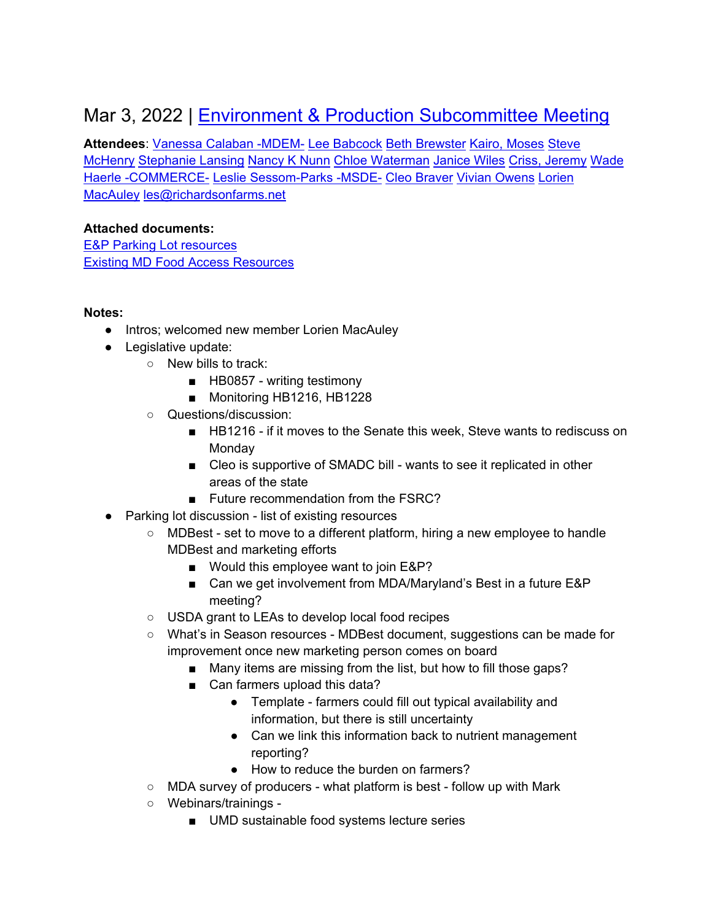## Mar 3, 2022 | [Environment & Production Subcommittee Meeting](https://www.google.com/calendar/event?eid=N200bjU2b3Y3b201aWhoYWtvZTM1ZGs3aGZfMjAyMjAzMDNUMTgwMDAwWiB2YW5lc3NhLmNhbGFiYW5AbWFyeWxhbmQuZ292)

**Attendees**: [Vanessa Calaban -MDEM-](mailto:vanessa.calaban@maryland.gov) [Lee Babcock](mailto:lhbabcock09@gmail.com) [Beth Brewster](mailto:brewster.amanda@ccpsstaff.org) [Kairo, Moses](mailto:mkairo@umes.edu) [Steve](mailto:smchenry@marbidco.org)  [McHenry](mailto:smchenry@marbidco.org) [Stephanie Lansing](mailto:slansing@umd.edu) [Nancy K Nunn](mailto:nnunn@umd.edu) [Chloe Waterman](mailto:cwaterman@foe.org) [Janice](mailto:janice@communityfare.org) Wiles [Criss, Jeremy](mailto:jeremy.criss@montgomerycountymd.gov) [Wade](mailto:wade.haerle@maryland.gov)  [Haerle -COMMERCE-](mailto:wade.haerle@maryland.gov) [Leslie Sessom-Parks -MSDE-](mailto:leslie.sessomparks@maryland.gov) [Cleo Braver](mailto:cpbraver@gmail.com) [Vivian Owens](mailto:vlowens@terpmail.umd.edu) [Lorien](mailto:lorien@mocofoodcouncil.org)  [MacAuley](mailto:lorien@mocofoodcouncil.org) [les@richardsonfarms.net](mailto:les@richardsonfarms.net)

## **Attached documents:**

[E&P Parking Lot resources](https://docs.google.com/document/u/0/d/1_Mz0KgCCQNSV8FTFw48xwWVgqMQiFBND53KZF_EjX44/edit) [Existing MD Food Access Resources](https://docs.google.com/document/d/1msJHRl3h8W1mCQ_WioyzAN4Q1K2GuPE-UoZb1iB7ibg/edit)

## **Notes:**

- Intros; welcomed new member Lorien MacAuley
- Legislative update:
	- New bills to track:
		- HB0857 writing testimony
		- Monitoring HB1216, HB1228
	- Questions/discussion:
		- HB1216 if it moves to the Senate this week, Steve wants to rediscuss on Monday
		- Cleo is supportive of SMADC bill wants to see it replicated in other areas of the state
		- Future recommendation from the FSRC?
- Parking lot discussion list of existing resources
	- MDBest set to move to a different platform, hiring a new employee to handle MDBest and marketing efforts
		- Would this employee want to join E&P?
		- Can we get involvement from MDA/Maryland's Best in a future E&P meeting?
	- USDA grant to LEAs to develop local food recipes
	- What's in Season resources MDBest document, suggestions can be made for improvement once new marketing person comes on board
		- Many items are missing from the list, but how to fill those gaps?
		- Can farmers upload this data?
			- Template farmers could fill out typical availability and information, but there is still uncertainty
			- Can we link this information back to nutrient management reporting?
			- How to reduce the burden on farmers?
	- MDA survey of producers what platform is best follow up with Mark
	- Webinars/trainings
		- UMD sustainable food systems lecture series